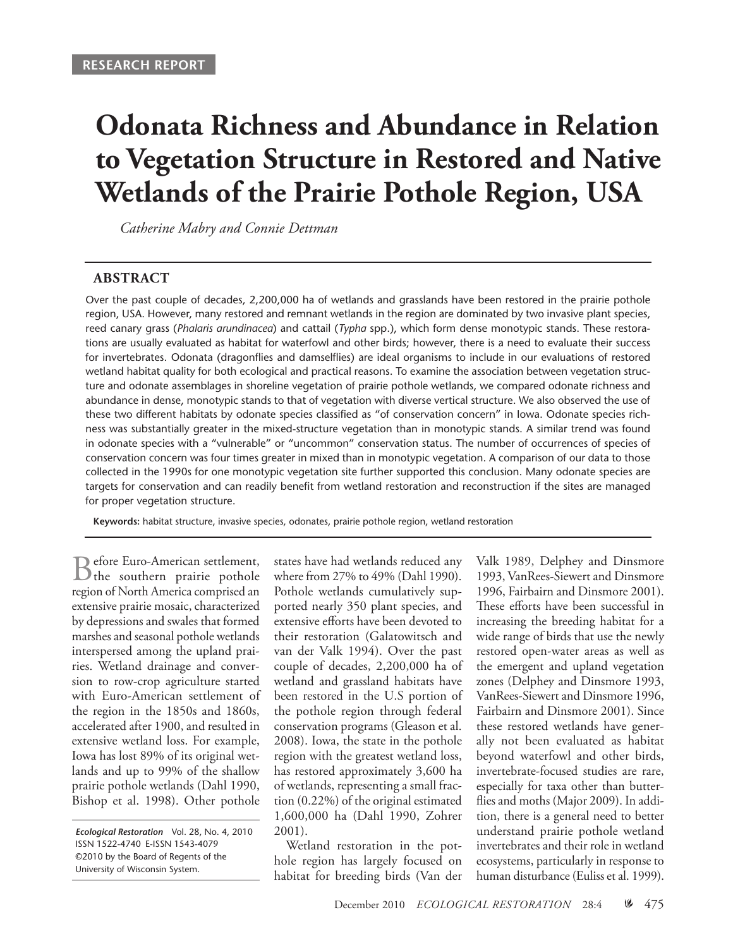# **Odonata Richness and Abundance in Relation to Vegetation Structure in Restored and Native Wetlands of the Prairie Pothole Region, USA**

*Catherine Mabry and Connie Dettman*

#### **Abstract**

Over the past couple of decades, 2,200,000 ha of wetlands and grasslands have been restored in the prairie pothole region, USA. However, many restored and remnant wetlands in the region are dominated by two invasive plant species, reed canary grass (*Phalaris arundinacea*) and cattail (*Typha* spp.), which form dense monotypic stands. These restorations are usually evaluated as habitat for waterfowl and other birds; however, there is a need to evaluate their success for invertebrates. Odonata (dragonflies and damselflies) are ideal organisms to include in our evaluations of restored wetland habitat quality for both ecological and practical reasons. To examine the association between vegetation structure and odonate assemblages in shoreline vegetation of prairie pothole wetlands, we compared odonate richness and abundance in dense, monotypic stands to that of vegetation with diverse vertical structure. We also observed the use of these two different habitats by odonate species classified as "of conservation concern" in Iowa. Odonate species richness was substantially greater in the mixed-structure vegetation than in monotypic stands. A similar trend was found in odonate species with a "vulnerable" or "uncommon" conservation status. The number of occurrences of species of conservation concern was four times greater in mixed than in monotypic vegetation. A comparison of our data to those collected in the 1990s for one monotypic vegetation site further supported this conclusion. Many odonate species are targets for conservation and can readily benefit from wetland restoration and reconstruction if the sites are managed for proper vegetation structure.

**Keywords:** habitat structure, invasive species, odonates, prairie pothole region, wetland restoration

Before Euro-American settlement,<br>
the southern prairie pothole<br>
Number region of North America comprised an extensive prairie mosaic, characterized by depressions and swales that formed marshes and seasonal pothole wetlands interspersed among the upland prairies. Wetland drainage and conversion to row-crop agriculture started with Euro-American settlement of the region in the 1850s and 1860s, accelerated after 1900, and resulted in extensive wetland loss. For example, Iowa has lost 89% of its original wetlands and up to 99% of the shallow prairie pothole wetlands (Dahl 1990, Bishop et al. 1998). Other pothole

*Ecological Restoration* Vol. 28, No. 4, 2010 ISSN 1522-4740 E-ISSN 1543-4079 ©2010 by the Board of Regents of the University of Wisconsin System.

states have had wetlands reduced any where from 27% to 49% (Dahl 1990). Pothole wetlands cumulatively supported nearly 350 plant species, and extensive efforts have been devoted to their restoration (Galatowitsch and van der Valk 1994). Over the past couple of decades, 2,200,000 ha of wetland and grassland habitats have been restored in the U.S portion of the pothole region through federal conservation programs (Gleason et al. 2008). Iowa, the state in the pothole region with the greatest wetland loss, has restored approximately 3,600 ha of wetlands, representing a small fraction (0.22%) of the original estimated 1,600,000 ha (Dahl 1990, Zohrer 2001).

Wetland restoration in the pothole region has largely focused on habitat for breeding birds (Van der Valk 1989, Delphey and Dinsmore 1993, VanRees-Siewert and Dinsmore 1996, Fairbairn and Dinsmore 2001). These efforts have been successful in increasing the breeding habitat for a wide range of birds that use the newly restored open-water areas as well as the emergent and upland vegetation zones (Delphey and Dinsmore 1993, VanRees-Siewert and Dinsmore 1996, Fairbairn and Dinsmore 2001). Since these restored wetlands have generally not been evaluated as habitat beyond waterfowl and other birds, invertebrate-focused studies are rare, especially for taxa other than butterflies and moths (Major 2009). In addition, there is a general need to better understand prairie pothole wetland invertebrates and their role in wetland ecosystems, particularly in response to human disturbance (Euliss et al. 1999).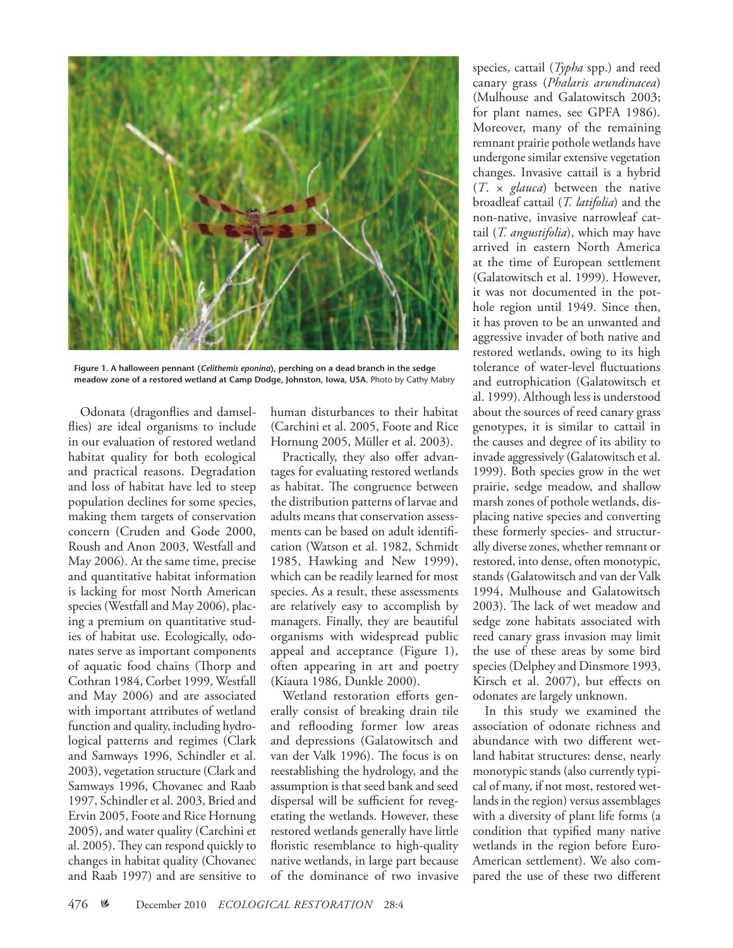

**Figure 1. A halloween pennant (***Celithemis eponina***), perching on a dead branch in the sedge meadow zone of a restored wetland at Camp Dodge, Johnston, Iowa, USA.** Photo by Cathy Mabry

Odonata (dragonflies and damselflies) are ideal organisms to include in our evaluation of restored wetland habitat quality for both ecological and practical reasons. Degradation and loss of habitat have led to steep population declines for some species, making them targets of conservation concern (Cruden and Gode 2000, Roush and Anon 2003, Westfall and May 2006). At the same time, precise and quantitative habitat information is lacking for most North American species (Westfall and May 2006), placing a premium on quantitative studies of habitat use. Ecologically, odonates serve as important components of aquatic food chains (Thorp and Cothran 1984, Corbet 1999, Westfall and May 2006) and are associated with important attributes of wetland function and quality, including hydrological patterns and regimes (Clark and Samways 1996, Schindler et al. 2003), vegetation structure (Clark and Samways 1996, Chovanec and Raab 1997, Schindler et al. 2003, Bried and Ervin 2005, Foote and Rice Hornung 2005), and water quality (Carchini et al. 2005). They can respond quickly to changes in habitat quality (Chovanec and Raab 1997) and are sensitive to

human disturbances to their habitat (Carchini et al. 2005, Foote and Rice Hornung 2005, Müller et al. 2003).

Practically, they also offer advantages for evaluating restored wetlands as habitat. The congruence between the distribution patterns of larvae and adults means that conservation assessments can be based on adult identification (Watson et al. 1982, Schmidt 1985, Hawking and New 1999), which can be readily learned for most species. As a result, these assessments are relatively easy to accomplish by managers. Finally, they are beautiful organisms with widespread public appeal and acceptance (Figure 1), often appearing in art and poetry (Kiauta 1986, Dunkle 2000).

Wetland restoration efforts generally consist of breaking drain tile and reflooding former low areas and depressions (Galatowitsch and van der Valk 1996). The focus is on reestablishing the hydrology, and the assumption is that seed bank and seed dispersal will be sufficient for revegetating the wetlands. However, these restored wetlands generally have little floristic resemblance to high-quality native wetlands, in large part because of the dominance of two invasive

species, cattail (*Typha* spp.) and reed canary grass (*Phalaris arundinacea*) (Mulhouse and Galatowitsch 2003; for plant names, see GPFA 1986). Moreover, many of the remaining remnant prairie pothole wetlands have undergone similar extensive vegetation changes. Invasive cattail is a hybrid (*T*. × *glauca*) between the native broadleaf cattail (*T. latifolia*) and the non-native, invasive narrowleaf cattail (*T. angustifolia*), which may have arrived in eastern North America at the time of European settlement (Galatowitsch et al. 1999). However, it was not documented in the pothole region until 1949. Since then, it has proven to be an unwanted and aggressive invader of both native and restored wetlands, owing to its high tolerance of water-level fluctuations and eutrophication (Galatowitsch et al. 1999). Although less is understood about the sources of reed canary grass genotypes, it is similar to cattail in the causes and degree of its ability to invade aggressively (Galatowitsch et al. 1999). Both species grow in the wet prairie, sedge meadow, and shallow marsh zones of pothole wetlands, displacing native species and converting these formerly species- and structurally diverse zones, whether remnant or restored, into dense, often monotypic, stands (Galatowitsch and van der Valk 1994, Mulhouse and Galatowitsch 2003). The lack of wet meadow and sedge zone habitats associated with reed canary grass invasion may limit the use of these areas by some bird species (Delphey and Dinsmore 1993, Kirsch et al. 2007), but effects on odonates are largely unknown.

In this study we examined the association of odonate richness and abundance with two different wetland habitat structures: dense, nearly monotypic stands (also currently typical of many, if not most, restored wetlands in the region) versus assemblages with a diversity of plant life forms (a condition that typified many native wetlands in the region before Euro-American settlement). We also compared the use of these two different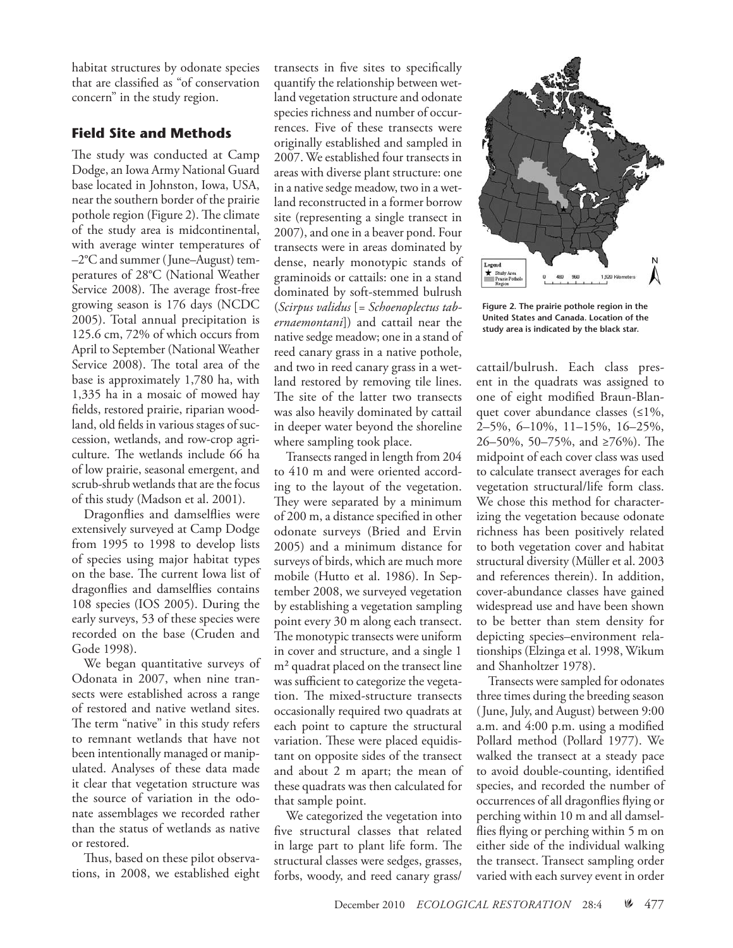habitat structures by odonate species that are classified as "of conservation concern" in the study region.

## **Field Site and Methods**

The study was conducted at Camp Dodge, an Iowa Army National Guard base located in Johnston, Iowa, USA, near the southern border of the prairie pothole region (Figure 2). The climate of the study area is midcontinental, with average winter temperatures of –2°C and summer (June–August) temperatures of 28°C (National Weather Service 2008). The average frost-free growing season is 176 days (NCDC 2005). Total annual precipitation is 125.6 cm, 72% of which occurs from April to September (National Weather Service 2008). The total area of the base is approximately 1,780 ha, with 1,335 ha in a mosaic of mowed hay fields, restored prairie, riparian woodland, old fields in various stages of succession, wetlands, and row-crop agriculture. The wetlands include 66 ha of low prairie, seasonal emergent, and scrub-shrub wetlands that are the focus of this study (Madson et al. 2001).

Dragonflies and damselflies were extensively surveyed at Camp Dodge from 1995 to 1998 to develop lists of species using major habitat types on the base. The current Iowa list of dragonflies and damselflies contains 108 species (IOS 2005). During the early surveys, 53 of these species were recorded on the base (Cruden and Gode 1998).

We began quantitative surveys of Odonata in 2007, when nine transects were established across a range of restored and native wetland sites. The term "native" in this study refers to remnant wetlands that have not been intentionally managed or manipulated. Analyses of these data made it clear that vegetation structure was the source of variation in the odonate assemblages we recorded rather than the status of wetlands as native or restored.

Thus, based on these pilot observations, in 2008, we established eight transects in five sites to specifically quantify the relationship between wetland vegetation structure and odonate species richness and number of occurrences. Five of these transects were originally established and sampled in 2007. We established four transects in areas with diverse plant structure: one in a native sedge meadow, two in a wetland reconstructed in a former borrow site (representing a single transect in 2007), and one in a beaver pond. Four transects were in areas dominated by dense, nearly monotypic stands of graminoids or cattails: one in a stand dominated by soft-stemmed bulrush (*Scirpus validus* [*= Schoenoplectus tabernaemontani*]) and cattail near the native sedge meadow; one in a stand of reed canary grass in a native pothole, and two in reed canary grass in a wetland restored by removing tile lines. The site of the latter two transects was also heavily dominated by cattail in deeper water beyond the shoreline where sampling took place.

Transects ranged in length from 204 to 410 m and were oriented according to the layout of the vegetation. They were separated by a minimum of 200 m, a distance specified in other odonate surveys (Bried and Ervin 2005) and a minimum distance for surveys of birds, which are much more mobile (Hutto et al. 1986). In September 2008, we surveyed vegetation by establishing a vegetation sampling point every 30 m along each transect. The monotypic transects were uniform in cover and structure, and a single 1 m<sup>2</sup> quadrat placed on the transect line was sufficient to categorize the vegetation. The mixed-structure transects occasionally required two quadrats at each point to capture the structural variation. These were placed equidistant on opposite sides of the transect and about 2 m apart; the mean of these quadrats was then calculated for that sample point.

We categorized the vegetation into five structural classes that related in large part to plant life form. The structural classes were sedges, grasses, forbs, woody, and reed canary grass/



**Figure 2. The prairie pothole region in the United States and Canada. Location of the study area is indicated by the black star.**

cattail/bulrush. Each class present in the quadrats was assigned to one of eight modified Braun-Blanquet cover abundance classes (≤1%, 2–5%, 6–10%, 11–15%, 16–25%, 26–50%, 50–75%, and ≥76%). The midpoint of each cover class was used to calculate transect averages for each vegetation structural/life form class. We chose this method for characterizing the vegetation because odonate richness has been positively related to both vegetation cover and habitat structural diversity (Müller et al. 2003 and references therein). In addition, cover-abundance classes have gained widespread use and have been shown to be better than stem density for depicting species–environment relationships (Elzinga et al. 1998, Wikum and Shanholtzer 1978).

Transects were sampled for odonates three times during the breeding season (June, July, and August) between 9:00 a.m. and 4:00 p.m. using a modified Pollard method (Pollard 1977). We walked the transect at a steady pace to avoid double-counting, identified species, and recorded the number of occurrences of all dragonflies flying or perching within 10 m and all damselflies flying or perching within 5 m on either side of the individual walking the transect. Transect sampling order varied with each survey event in order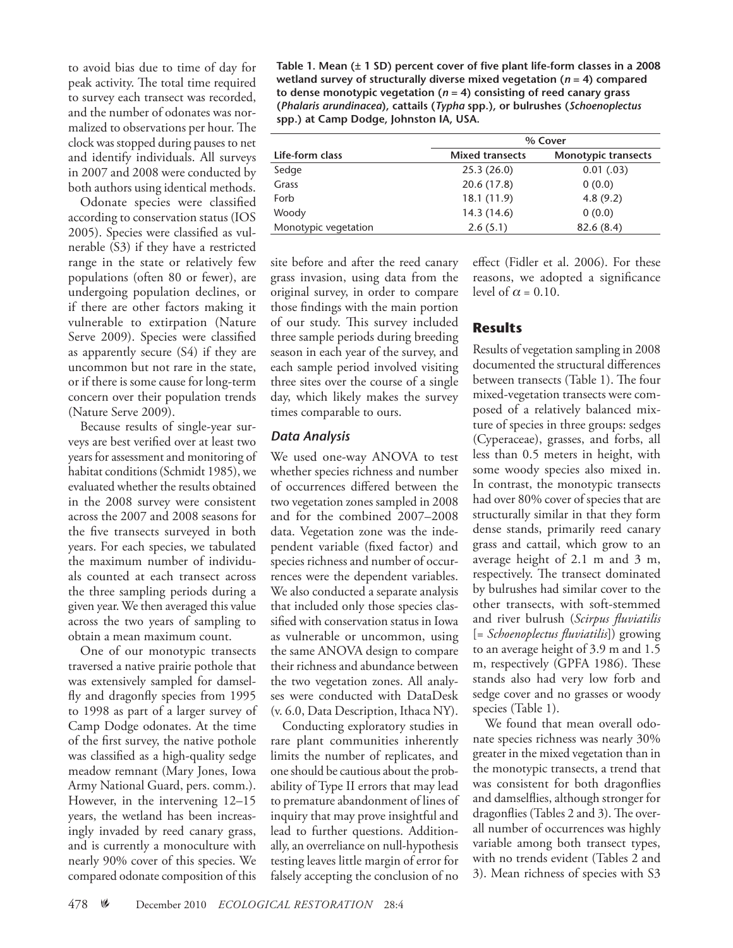to avoid bias due to time of day for peak activity. The total time required to survey each transect was recorded, and the number of odonates was normalized to observations per hour. The clock was stopped during pauses to net and identify individuals. All surveys in 2007 and 2008 were conducted by both authors using identical methods.

Odonate species were classified according to conservation status (IOS 2005). Species were classified as vulnerable (S3) if they have a restricted range in the state or relatively few populations (often 80 or fewer), are undergoing population declines, or if there are other factors making it vulnerable to extirpation (Nature Serve 2009). Species were classified as apparently secure (S4) if they are uncommon but not rare in the state, or if there is some cause for long-term concern over their population trends (Nature Serve 2009).

Because results of single-year surveys are best verified over at least two years for assessment and monitoring of habitat conditions (Schmidt 1985), we evaluated whether the results obtained in the 2008 survey were consistent across the 2007 and 2008 seasons for the five transects surveyed in both years. For each species, we tabulated the maximum number of individuals counted at each transect across the three sampling periods during a given year. We then averaged this value across the two years of sampling to obtain a mean maximum count.

One of our monotypic transects traversed a native prairie pothole that was extensively sampled for damselfly and dragonfly species from 1995 to 1998 as part of a larger survey of Camp Dodge odonates. At the time of the first survey, the native pothole was classified as a high-quality sedge meadow remnant (Mary Jones, Iowa Army National Guard, pers. comm.). However, in the intervening 12–15 years, the wetland has been increasingly invaded by reed canary grass, and is currently a monoculture with nearly 90% cover of this species. We compared odonate composition of this

**Table 1. Mean (± 1 SD) percent cover of five plant life-form classes in a 2008 wetland survey of structurally diverse mixed vegetation (***n* **= 4) compared to dense monotypic vegetation (***n* **= 4) consisting of reed canary grass (***Phalaris arundinacea***), cattails (***Typha* **spp.), or bulrushes (***Schoenoplectus* **spp.) at Camp Dodge, Johnston IA, USA.**

|                      | % Cover                |                            |  |  |  |
|----------------------|------------------------|----------------------------|--|--|--|
| Life-form class      | <b>Mixed transects</b> | <b>Monotypic transects</b> |  |  |  |
| Sedge                | 25.3(26.0)             | 0.01(0.03)                 |  |  |  |
| Grass                | 20.6 (17.8)            | 0(0.0)                     |  |  |  |
| Forb                 | 18.1 (11.9)            | 4.8(9.2)                   |  |  |  |
| Woody                | 14.3 (14.6)            | 0(0.0)                     |  |  |  |
| Monotypic vegetation | 2.6(5.1)               | 82.6(8.4)                  |  |  |  |

site before and after the reed canary grass invasion, using data from the original survey, in order to compare those findings with the main portion of our study. This survey included three sample periods during breeding season in each year of the survey, and each sample period involved visiting three sites over the course of a single day, which likely makes the survey times comparable to ours.

## *Data Analysis*

We used one-way ANOVA to test whether species richness and number of occurrences differed between the two vegetation zones sampled in 2008 and for the combined 2007–2008 data. Vegetation zone was the independent variable (fixed factor) and species richness and number of occurrences were the dependent variables. We also conducted a separate analysis that included only those species classified with conservation status in Iowa as vulnerable or uncommon, using the same ANOVA design to compare their richness and abundance between the two vegetation zones. All analyses were conducted with DataDesk (v. 6.0, Data Description, Ithaca NY).

Conducting exploratory studies in rare plant communities inherently limits the number of replicates, and one should be cautious about the probability of Type II errors that may lead to premature abandonment of lines of inquiry that may prove insightful and lead to further questions. Additionally, an overreliance on null-hypothesis testing leaves little margin of error for falsely accepting the conclusion of no effect (Fidler et al. 2006). For these reasons, we adopted a significance level of  $\alpha = 0.10$ .

# **Results**

Results of vegetation sampling in 2008 documented the structural differences between transects (Table 1). The four mixed-vegetation transects were composed of a relatively balanced mixture of species in three groups: sedges (Cyperaceae), grasses, and forbs, all less than 0.5 meters in height, with some woody species also mixed in. In contrast, the monotypic transects had over 80% cover of species that are structurally similar in that they form dense stands, primarily reed canary grass and cattail, which grow to an average height of 2.1 m and 3 m, respectively. The transect dominated by bulrushes had similar cover to the other transects, with soft-stemmed and river bulrush (*Scirpus fluviatilis*  [= *Schoenoplectus fluviatilis*]) growing to an average height of 3.9 m and 1.5 m, respectively (GPFA 1986). These stands also had very low forb and sedge cover and no grasses or woody species (Table 1).

We found that mean overall odonate species richness was nearly 30% greater in the mixed vegetation than in the monotypic transects, a trend that was consistent for both dragonflies and damselflies, although stronger for dragonflies (Tables 2 and 3). The overall number of occurrences was highly variable among both transect types, with no trends evident (Tables 2 and 3). Mean richness of species with S3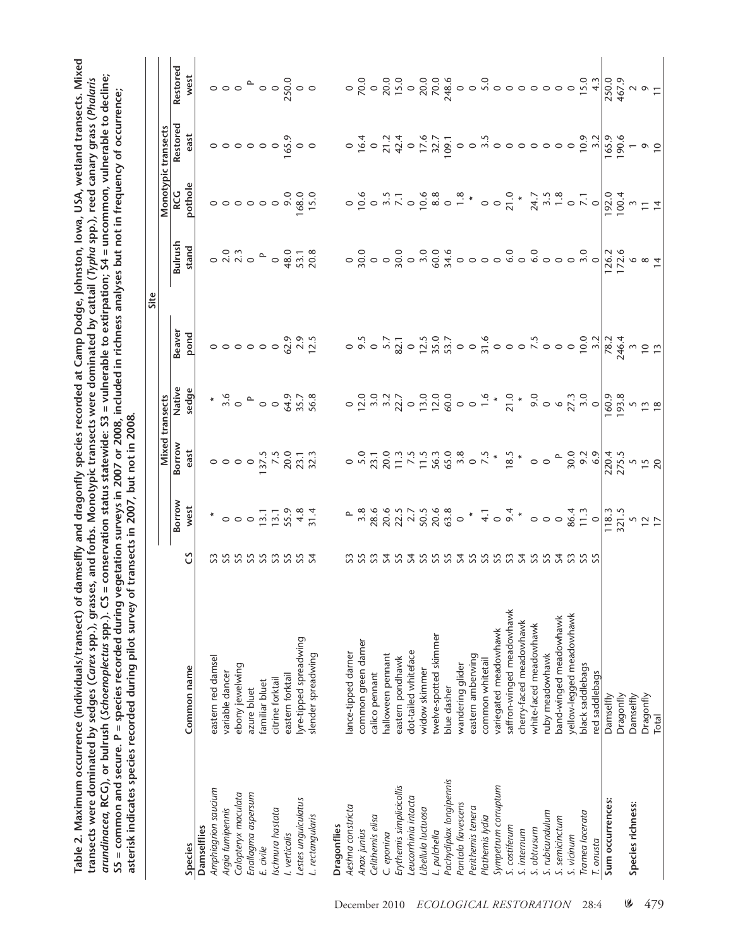**Camp Dodge, Johnston, Iowa, USA, wetland transects. Mixed**  Table 2. Maximum occurrence (individuals/transect) of damselfly and dragonfly species recorded at Camp Dodge, Johnston, Iowa, USA, wetland transects. Mixed **CG), or bulrush (***Schoenoplectus* **spp.). CS = conservation status statewide: S3 = vulnerable to extirpation; S4 = uncommon, vulnerable to decline;**  arundinacea, RCG), or bulrush (Schoenoplectus spp.). CS = conservation status statewide: S3 = vulnerable to extirpation; S4 = uncommon, vulnerable to decline; transects were dominated by sedges (Carex spp.), grasses, and forbs. Monotypic transects were dominated by cattail (Typha spp.), reed canary grass (Phalaris **transects were dominated by sedges (***Carex* **spp.), grasses, and forbs. Monotypic transects were dominated by cattail (***Typha* **spp.), reed canary grass (***Phalaris*  **S5 = common and secure. P = species recorded during vegetation surveys in 2007 or 2008, included in richness analyses but not in frequency of occurrence;**  S5 = common and secure. P = species recorded during vegetation surveys in 2007 or 2008, included in richness analyses but not in frequency of occurrence; **Table 2. Maximum occurrence (individuals/transect) of damselfly and dragonfly species recorded at**  asterisk indicates species recorded during pilot survey of transects in 2007, but not in 2008. **asterisk indicates species recorded during pilot survey of transects in 2007, but not in 2008.** *arundinacea***, R**

|                          |                           |                                  |                                                                                                                                                                                                                                                                                      |                 |                                                                                                                                                                                                                                                                                                                                                                                  | Site          |                                                                                                                                                                                                                                      |            |                                                                                                                                                                                                                                                                                                                                                                                                                                                                                                                                       |          |
|--------------------------|---------------------------|----------------------------------|--------------------------------------------------------------------------------------------------------------------------------------------------------------------------------------------------------------------------------------------------------------------------------------|-----------------|----------------------------------------------------------------------------------------------------------------------------------------------------------------------------------------------------------------------------------------------------------------------------------------------------------------------------------------------------------------------------------|---------------|--------------------------------------------------------------------------------------------------------------------------------------------------------------------------------------------------------------------------------------|------------|---------------------------------------------------------------------------------------------------------------------------------------------------------------------------------------------------------------------------------------------------------------------------------------------------------------------------------------------------------------------------------------------------------------------------------------------------------------------------------------------------------------------------------------|----------|
|                          |                           |                                  |                                                                                                                                                                                                                                                                                      | Mixed transects |                                                                                                                                                                                                                                                                                                                                                                                  |               |                                                                                                                                                                                                                                      |            | Monotypic transects                                                                                                                                                                                                                                                                                                                                                                                                                                                                                                                   |          |
|                          |                           |                                  | Borrow                                                                                                                                                                                                                                                                               | Borrow          | Native                                                                                                                                                                                                                                                                                                                                                                           | <b>Beaver</b> | Bulrush                                                                                                                                                                                                                              | <b>RCG</b> | Restorec                                                                                                                                                                                                                                                                                                                                                                                                                                                                                                                              | Restorec |
| Species                  | Common name               | ű                                | west                                                                                                                                                                                                                                                                                 | east            | sedge                                                                                                                                                                                                                                                                                                                                                                            | pond          | stand                                                                                                                                                                                                                                | pothol     | east                                                                                                                                                                                                                                                                                                                                                                                                                                                                                                                                  | west     |
| Damselflies              |                           |                                  |                                                                                                                                                                                                                                                                                      |                 |                                                                                                                                                                                                                                                                                                                                                                                  |               |                                                                                                                                                                                                                                      |            |                                                                                                                                                                                                                                                                                                                                                                                                                                                                                                                                       |          |
| Amphiagrion saucium      | eastern red damsel        |                                  |                                                                                                                                                                                                                                                                                      |                 |                                                                                                                                                                                                                                                                                                                                                                                  |               |                                                                                                                                                                                                                                      |            |                                                                                                                                                                                                                                                                                                                                                                                                                                                                                                                                       |          |
| Argia fumipennis         | variable dancer           |                                  |                                                                                                                                                                                                                                                                                      |                 |                                                                                                                                                                                                                                                                                                                                                                                  |               |                                                                                                                                                                                                                                      |            |                                                                                                                                                                                                                                                                                                                                                                                                                                                                                                                                       |          |
| Calopteryx maculata      | ebony jewelwing           |                                  |                                                                                                                                                                                                                                                                                      |                 |                                                                                                                                                                                                                                                                                                                                                                                  |               |                                                                                                                                                                                                                                      |            |                                                                                                                                                                                                                                                                                                                                                                                                                                                                                                                                       |          |
| Enallagma aspersum       | azure bluet               |                                  |                                                                                                                                                                                                                                                                                      |                 |                                                                                                                                                                                                                                                                                                                                                                                  |               |                                                                                                                                                                                                                                      |            |                                                                                                                                                                                                                                                                                                                                                                                                                                                                                                                                       |          |
| E. civile                | familiar bluet            |                                  |                                                                                                                                                                                                                                                                                      |                 |                                                                                                                                                                                                                                                                                                                                                                                  |               |                                                                                                                                                                                                                                      |            |                                                                                                                                                                                                                                                                                                                                                                                                                                                                                                                                       |          |
| Ischnura hastata         | citrine forktail          |                                  |                                                                                                                                                                                                                                                                                      |                 |                                                                                                                                                                                                                                                                                                                                                                                  |               |                                                                                                                                                                                                                                      |            |                                                                                                                                                                                                                                                                                                                                                                                                                                                                                                                                       |          |
| I. verticalis            | eastern forktail          |                                  |                                                                                                                                                                                                                                                                                      |                 |                                                                                                                                                                                                                                                                                                                                                                                  |               |                                                                                                                                                                                                                                      |            |                                                                                                                                                                                                                                                                                                                                                                                                                                                                                                                                       |          |
| Lestes unquiculatus      | lyre-tipped spreadwing    | <b>333333333</b>                 | $*$ 000 $\frac{1}{2}$ $\frac{1}{2}$ $\frac{1}{2}$ $\frac{3}{2}$ $\frac{3}{2}$ $\frac{4}{2}$ $\frac{1}{2}$                                                                                                                                                                            |                 | $*$ $\overset{6}{\sim}$ $\circ$ $\circ$ $\overset{6}{\sim}$ $\overset{7}{\sim}$ $\overset{8}{\sim}$ $\overset{9}{\sim}$ $\overset{9}{\sim}$ $\overset{9}{\sim}$ $\overset{9}{\sim}$ $\overset{9}{\sim}$ $\overset{9}{\sim}$ $\overset{9}{\sim}$ $\overset{9}{\sim}$ $\overset{9}{\sim}$ $\overset{9}{\sim}$ $\overset{9}{\sim}$ $\overset{9}{\sim}$ $\overset{9}{\sim}$ $\overs$ |               |                                                                                                                                                                                                                                      |            | $\begin{array}{c} 0 & 0 & 0 & 0 & 0 & 0 \\ 0 & 0 & 0 & 0 & 0 & 0 \\ 0 & 0 & 0 & 0 & 0 & 0 \\ 0 & 0 & 0 & 0 & 0 & 0 \\ 0 & 0 & 0 & 0 & 0 & 0 \\ 0 & 0 & 0 & 0 & 0 & 0 \\ 0 & 0 & 0 & 0 & 0 & 0 \\ 0 & 0 & 0 & 0 & 0 & 0 & 0 \\ 0 & 0 & 0 & 0 & 0 & 0 & 0 \\ 0 & 0 & 0 & 0 & 0 & 0 & 0 \\ 0 & 0 & 0 & 0 & 0 & 0 & 0 & 0 \\$                                                                                                                                                                                                             |          |
| L. rectangularis         | slender spreadwing        |                                  |                                                                                                                                                                                                                                                                                      |                 |                                                                                                                                                                                                                                                                                                                                                                                  |               | $\circ\overset{\circ}{\sim}\overset{\circ}{\sim}\overset{\circ}{\sim}\circ\overset{\circ}{\circ}\circ\overset{\circ}{\sim}\overset{\circ}{\sim}\overset{\circ}{\sim}\overset{\circ}{\sim}\overset{\circ}{\sim}\overset{\circ}{\sim}$ |            |                                                                                                                                                                                                                                                                                                                                                                                                                                                                                                                                       |          |
| Dragonflies              |                           |                                  |                                                                                                                                                                                                                                                                                      |                 |                                                                                                                                                                                                                                                                                                                                                                                  |               |                                                                                                                                                                                                                                      |            |                                                                                                                                                                                                                                                                                                                                                                                                                                                                                                                                       |          |
| Aeshna constricta        | ance-tipped darner        |                                  |                                                                                                                                                                                                                                                                                      |                 |                                                                                                                                                                                                                                                                                                                                                                                  |               |                                                                                                                                                                                                                                      |            |                                                                                                                                                                                                                                                                                                                                                                                                                                                                                                                                       |          |
| Anax junius              | common green darner       | COCO COCO COCO COCO COCO COCO CO | $\begin{array}{cccccccccccccc} 0.83 & 0.00 & 0.00 & 0.00 & 0.00 & 0.00 & 0.00 & 0.00 & 0.00 & 0.00 & 0.00 & 0.00 & 0.00 & 0.00 & 0.00 & 0.00 & 0.00 & 0.00 & 0.00 & 0.00 & 0.00 & 0.00 & 0.00 & 0.00 & 0.00 & 0.00 & 0.00 & 0.00 & 0.00 & 0.00 & 0.00 & 0.00 & 0.00 & 0.00 & 0.00 &$ |                 |                                                                                                                                                                                                                                                                                                                                                                                  |               |                                                                                                                                                                                                                                      |            | $\circ \overbrace{a} \circ \overbrace{a} \overbrace{a} \overbrace{a} \overbrace{a} \overbrace{a} \overbrace{a} \overbrace{a} \overbrace{a} \overbrace{a} \overbrace{a} \overbrace{a} \overbrace{a} \overbrace{a} \overbrace{a} \overbrace{a} \overbrace{a} \overbrace{a} \overbrace{a} \overbrace{a} \overbrace{a} \overbrace{a} \overbrace{a} \overbrace{a} \overbrace{a} \overbrace{a} \overbrace{a} \overbrace{a} \overbrace{a} \overbrace{a} \overbrace{a} \overbrace{a} \overbrace{a} \overbrace{a} \overbrace{a} \overbrace{a}$ |          |
| Celithemis elisa         | calico pennant            |                                  |                                                                                                                                                                                                                                                                                      |                 |                                                                                                                                                                                                                                                                                                                                                                                  |               |                                                                                                                                                                                                                                      |            |                                                                                                                                                                                                                                                                                                                                                                                                                                                                                                                                       |          |
| C. eponina               | halloween pennant         |                                  |                                                                                                                                                                                                                                                                                      |                 |                                                                                                                                                                                                                                                                                                                                                                                  |               |                                                                                                                                                                                                                                      |            |                                                                                                                                                                                                                                                                                                                                                                                                                                                                                                                                       |          |
| Erythemis simplicicollis | eastern pondhawk          |                                  |                                                                                                                                                                                                                                                                                      |                 |                                                                                                                                                                                                                                                                                                                                                                                  |               |                                                                                                                                                                                                                                      |            |                                                                                                                                                                                                                                                                                                                                                                                                                                                                                                                                       |          |
| Leucorrhinia intacta     | dot-tailed whiteface      |                                  |                                                                                                                                                                                                                                                                                      |                 |                                                                                                                                                                                                                                                                                                                                                                                  |               |                                                                                                                                                                                                                                      |            |                                                                                                                                                                                                                                                                                                                                                                                                                                                                                                                                       |          |
| Libellula luctuosa       | widow skimmer             |                                  |                                                                                                                                                                                                                                                                                      |                 |                                                                                                                                                                                                                                                                                                                                                                                  |               |                                                                                                                                                                                                                                      |            |                                                                                                                                                                                                                                                                                                                                                                                                                                                                                                                                       |          |
| L. pulchella             | twelve-spotted skimmer    |                                  |                                                                                                                                                                                                                                                                                      |                 |                                                                                                                                                                                                                                                                                                                                                                                  |               |                                                                                                                                                                                                                                      |            |                                                                                                                                                                                                                                                                                                                                                                                                                                                                                                                                       |          |
| Pachydiplax longipennis  | blue dasher               |                                  |                                                                                                                                                                                                                                                                                      |                 |                                                                                                                                                                                                                                                                                                                                                                                  |               |                                                                                                                                                                                                                                      |            |                                                                                                                                                                                                                                                                                                                                                                                                                                                                                                                                       |          |
| Pantala flavescens       | wandering glider          |                                  |                                                                                                                                                                                                                                                                                      |                 |                                                                                                                                                                                                                                                                                                                                                                                  |               |                                                                                                                                                                                                                                      |            |                                                                                                                                                                                                                                                                                                                                                                                                                                                                                                                                       |          |
| Perithemis tenera        | eastern amberwing         |                                  |                                                                                                                                                                                                                                                                                      |                 |                                                                                                                                                                                                                                                                                                                                                                                  |               |                                                                                                                                                                                                                                      |            |                                                                                                                                                                                                                                                                                                                                                                                                                                                                                                                                       |          |
| Plathemis lydia          | common whitetail          |                                  |                                                                                                                                                                                                                                                                                      |                 |                                                                                                                                                                                                                                                                                                                                                                                  |               |                                                                                                                                                                                                                                      |            |                                                                                                                                                                                                                                                                                                                                                                                                                                                                                                                                       |          |
| Sympetrum corruptum      | variegated meadowhawk     |                                  |                                                                                                                                                                                                                                                                                      |                 |                                                                                                                                                                                                                                                                                                                                                                                  |               |                                                                                                                                                                                                                                      |            |                                                                                                                                                                                                                                                                                                                                                                                                                                                                                                                                       |          |
| S. costiferum            | saffron-winged meadowhawk |                                  |                                                                                                                                                                                                                                                                                      |                 |                                                                                                                                                                                                                                                                                                                                                                                  |               |                                                                                                                                                                                                                                      |            |                                                                                                                                                                                                                                                                                                                                                                                                                                                                                                                                       |          |
| S. internum              | cherry-faced meadowhawk   |                                  |                                                                                                                                                                                                                                                                                      |                 |                                                                                                                                                                                                                                                                                                                                                                                  |               |                                                                                                                                                                                                                                      |            |                                                                                                                                                                                                                                                                                                                                                                                                                                                                                                                                       |          |
| S. obtrusum              | white-faced meadowhawk    |                                  |                                                                                                                                                                                                                                                                                      |                 |                                                                                                                                                                                                                                                                                                                                                                                  |               |                                                                                                                                                                                                                                      |            |                                                                                                                                                                                                                                                                                                                                                                                                                                                                                                                                       |          |
| S. rubicundulum          | uby meadowhawk            |                                  |                                                                                                                                                                                                                                                                                      |                 |                                                                                                                                                                                                                                                                                                                                                                                  |               |                                                                                                                                                                                                                                      |            |                                                                                                                                                                                                                                                                                                                                                                                                                                                                                                                                       |          |
| S. semicinctum           | band-winged meadowhawk    |                                  |                                                                                                                                                                                                                                                                                      |                 |                                                                                                                                                                                                                                                                                                                                                                                  |               |                                                                                                                                                                                                                                      |            |                                                                                                                                                                                                                                                                                                                                                                                                                                                                                                                                       |          |
| S. vicinum               | vellow-legged meadowhawk  |                                  |                                                                                                                                                                                                                                                                                      |                 |                                                                                                                                                                                                                                                                                                                                                                                  |               |                                                                                                                                                                                                                                      |            |                                                                                                                                                                                                                                                                                                                                                                                                                                                                                                                                       |          |
| Tramea lacerata          | black saddlebags          |                                  |                                                                                                                                                                                                                                                                                      |                 |                                                                                                                                                                                                                                                                                                                                                                                  |               |                                                                                                                                                                                                                                      |            |                                                                                                                                                                                                                                                                                                                                                                                                                                                                                                                                       |          |
| T. onusta                | red saddlebags            |                                  |                                                                                                                                                                                                                                                                                      |                 |                                                                                                                                                                                                                                                                                                                                                                                  |               |                                                                                                                                                                                                                                      |            |                                                                                                                                                                                                                                                                                                                                                                                                                                                                                                                                       |          |
| Sum occurrences:         | Damselfly                 |                                  |                                                                                                                                                                                                                                                                                      |                 |                                                                                                                                                                                                                                                                                                                                                                                  |               |                                                                                                                                                                                                                                      |            |                                                                                                                                                                                                                                                                                                                                                                                                                                                                                                                                       |          |
|                          | Dragonfly                 |                                  |                                                                                                                                                                                                                                                                                      |                 |                                                                                                                                                                                                                                                                                                                                                                                  |               |                                                                                                                                                                                                                                      |            |                                                                                                                                                                                                                                                                                                                                                                                                                                                                                                                                       |          |
| Species richness:        | Damselfly                 |                                  |                                                                                                                                                                                                                                                                                      |                 |                                                                                                                                                                                                                                                                                                                                                                                  |               |                                                                                                                                                                                                                                      |            |                                                                                                                                                                                                                                                                                                                                                                                                                                                                                                                                       |          |
|                          | Dragonfly                 |                                  |                                                                                                                                                                                                                                                                                      |                 |                                                                                                                                                                                                                                                                                                                                                                                  |               |                                                                                                                                                                                                                                      |            |                                                                                                                                                                                                                                                                                                                                                                                                                                                                                                                                       |          |
|                          | Total                     |                                  |                                                                                                                                                                                                                                                                                      |                 |                                                                                                                                                                                                                                                                                                                                                                                  |               |                                                                                                                                                                                                                                      |            |                                                                                                                                                                                                                                                                                                                                                                                                                                                                                                                                       |          |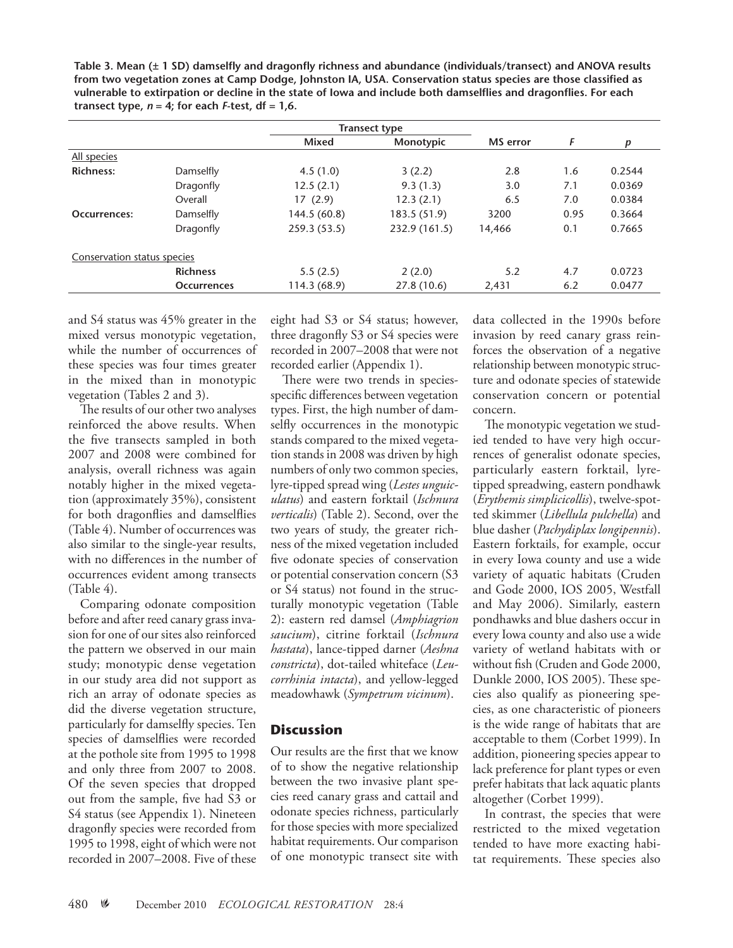**Table 3. Mean (± 1 SD) damselfly and dragonfly richness and abundance (individuals/transect) and ANOVA results from two vegetation zones at Camp Dodge, Johnston IA, USA. Conservation status species are those classified as vulnerable to extirpation or decline in the state of Iowa and include both damselflies and dragonflies. For each transect type,**  $n = 4$ **; for each**  $F$ **-test, df = 1,6.** 

|                             |                    | <b>Transect type</b> |               |                 |      |                  |  |
|-----------------------------|--------------------|----------------------|---------------|-----------------|------|------------------|--|
|                             |                    | Mixed                | Monotypic     | <b>MS</b> error | F    | $\boldsymbol{p}$ |  |
| All species                 |                    |                      |               |                 |      |                  |  |
| <b>Richness:</b>            | Damselfly          | 4.5(1.0)             | 3(2.2)        | 2.8             | 1.6  | 0.2544           |  |
|                             | Dragonfly          | 12.5(2.1)            | 9.3(1.3)      | 3.0             | 7.1  | 0.0369           |  |
|                             | Overall            | 17(2.9)              | 12.3(2.1)     | 6.5             | 7.0  | 0.0384           |  |
| Occurrences:                | Damselfly          | 144.5 (60.8)         | 183.5 (51.9)  | 3200            | 0.95 | 0.3664           |  |
|                             | Dragonfly          | 259.3 (53.5)         | 232.9 (161.5) | 14.466          | 0.1  | 0.7665           |  |
| Conservation status species |                    |                      |               |                 |      |                  |  |
|                             | <b>Richness</b>    | 5.5(2.5)             | 2(2.0)        | 5.2             | 4.7  | 0.0723           |  |
|                             | <b>Occurrences</b> | 114.3(68.9)          | 27.8(10.6)    | 2,431           | 6.2  | 0.0477           |  |

and S4 status was 45% greater in the mixed versus monotypic vegetation, while the number of occurrences of these species was four times greater in the mixed than in monotypic vegetation (Tables 2 and 3).

The results of our other two analyses reinforced the above results. When the five transects sampled in both 2007 and 2008 were combined for analysis, overall richness was again notably higher in the mixed vegetation (approximately 35%), consistent for both dragonflies and damselflies (Table 4). Number of occurrences was also similar to the single-year results, with no differences in the number of occurrences evident among transects (Table 4).

Comparing odonate composition before and after reed canary grass invasion for one of our sites also reinforced the pattern we observed in our main study; monotypic dense vegetation in our study area did not support as rich an array of odonate species as did the diverse vegetation structure, particularly for damselfly species. Ten species of damselflies were recorded at the pothole site from 1995 to 1998 and only three from 2007 to 2008. Of the seven species that dropped out from the sample, five had S3 or S4 status (see Appendix 1). Nineteen dragonfly species were recorded from 1995 to 1998, eight of which were not recorded in 2007–2008. Five of these

eight had S3 or S4 status; however, three dragonfly S3 or S4 species were recorded in 2007–2008 that were not recorded earlier (Appendix 1).

There were two trends in speciesspecific differences between vegetation types. First, the high number of damselfly occurrences in the monotypic stands compared to the mixed vegetation stands in 2008 was driven by high numbers of only two common species, lyre-tipped spread wing (*Lestes unguiculatus*) and eastern forktail (*Ischnura verticalis*) (Table 2). Second, over the two years of study, the greater richness of the mixed vegetation included five odonate species of conservation or potential conservation concern (S3 or S4 status) not found in the structurally monotypic vegetation (Table 2): eastern red damsel (*Amphiagrion saucium*), citrine forktail (*Ischnura hastata*), lance-tipped darner (*Aeshna constricta*), dot-tailed whiteface (*Leucorrhinia intacta*), and yellow-legged meadowhawk (*Sympetrum vicinum*).

## **Discussion**

Our results are the first that we know of to show the negative relationship between the two invasive plant species reed canary grass and cattail and odonate species richness, particularly for those species with more specialized habitat requirements. Our comparison of one monotypic transect site with

data collected in the 1990s before invasion by reed canary grass reinforces the observation of a negative relationship between monotypic structure and odonate species of statewide conservation concern or potential concern.

The monotypic vegetation we studied tended to have very high occurrences of generalist odonate species, particularly eastern forktail, lyretipped spreadwing, eastern pondhawk (*Erythemis simplicicollis*), twelve-spotted skimmer (*Libellula pulchella*) and blue dasher (*Pachydiplax longipennis*). Eastern forktails, for example, occur in every Iowa county and use a wide variety of aquatic habitats (Cruden and Gode 2000, IOS 2005, Westfall and May 2006). Similarly, eastern pondhawks and blue dashers occur in every Iowa county and also use a wide variety of wetland habitats with or without fish (Cruden and Gode 2000, Dunkle 2000, IOS 2005). These species also qualify as pioneering species, as one characteristic of pioneers is the wide range of habitats that are acceptable to them (Corbet 1999). In addition, pioneering species appear to lack preference for plant types or even prefer habitats that lack aquatic plants altogether (Corbet 1999).

In contrast, the species that were restricted to the mixed vegetation tended to have more exacting habitat requirements. These species also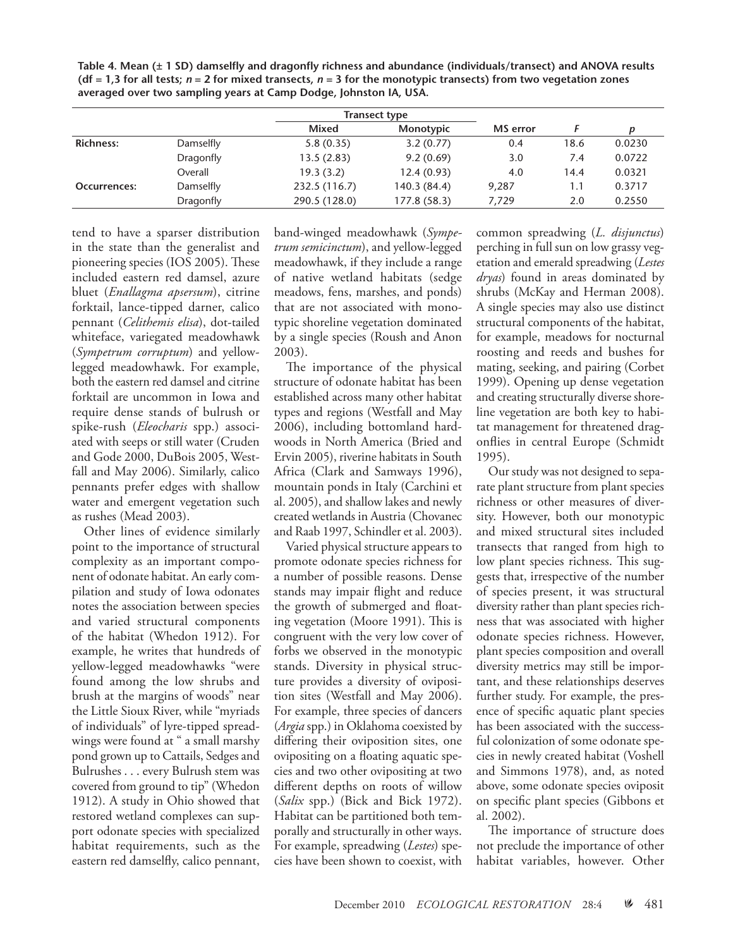**Table 4. Mean (± 1 SD) damselfly and dragonfly richness and abundance (individuals/transect) and ANOVA results (df = 1,3 for all tests;** *n* **= 2 for mixed transects,** *n =* **3 for the monotypic transects) from two vegetation zones averaged over two sampling years at Camp Dodge, Johnston IA, USA.**

|                  |           | <b>Transect type</b> |              |          |      |        |
|------------------|-----------|----------------------|--------------|----------|------|--------|
|                  |           | Mixed                | Monotypic    | MS error |      |        |
| <b>Richness:</b> | Damselfly | 5.8(0.35)            | 3.2(0.77)    | 0.4      | 18.6 | 0.0230 |
|                  | Dragonfly | 13.5(2.83)           | 9.2(0.69)    | 3.0      | 7.4  | 0.0722 |
|                  | Overall   | 19.3(3.2)            | 12.4(0.93)   | 4.0      | 14.4 | 0.0321 |
| Occurrences:     | Damselfly | 232.5 (116.7)        | 140.3 (84.4) | 9,287    | 1.1  | 0.3717 |
|                  | Dragonfly | 290.5 (128.0)        | 177.8 (58.3) | 7,729    | 2.0  | 0.2550 |

tend to have a sparser distribution in the state than the generalist and pioneering species (IOS 2005). These included eastern red damsel, azure bluet (*Enallagma apsersum*), citrine forktail, lance-tipped darner, calico pennant (*Celithemis elisa*), dot-tailed whiteface, variegated meadowhawk (*Sympetrum corruptum*) and yellowlegged meadowhawk. For example, both the eastern red damsel and citrine forktail are uncommon in Iowa and require dense stands of bulrush or spike-rush (*Eleocharis* spp.) associated with seeps or still water (Cruden and Gode 2000, DuBois 2005, Westfall and May 2006). Similarly, calico pennants prefer edges with shallow water and emergent vegetation such as rushes (Mead 2003).

Other lines of evidence similarly point to the importance of structural complexity as an important component of odonate habitat. An early compilation and study of Iowa odonates notes the association between species and varied structural components of the habitat (Whedon 1912). For example, he writes that hundreds of yellow-legged meadowhawks "were found among the low shrubs and brush at the margins of woods" near the Little Sioux River, while "myriads of individuals" of lyre-tipped spreadwings were found at " a small marshy pond grown up to Cattails, Sedges and Bulrushes . . . every Bulrush stem was covered from ground to tip" (Whedon 1912). A study in Ohio showed that restored wetland complexes can support odonate species with specialized habitat requirements, such as the eastern red damselfly, calico pennant,

band-winged meadowhawk (*Sympetrum semicinctum*), and yellow-legged meadowhawk, if they include a range of native wetland habitats (sedge meadows, fens, marshes, and ponds) that are not associated with monotypic shoreline vegetation dominated by a single species (Roush and Anon 2003).

The importance of the physical structure of odonate habitat has been established across many other habitat types and regions (Westfall and May 2006), including bottomland hardwoods in North America (Bried and Ervin 2005), riverine habitats in South Africa (Clark and Samways 1996), mountain ponds in Italy (Carchini et al. 2005), and shallow lakes and newly created wetlands in Austria (Chovanec and Raab 1997, Schindler et al. 2003).

Varied physical structure appears to promote odonate species richness for a number of possible reasons. Dense stands may impair flight and reduce the growth of submerged and floating vegetation (Moore 1991). This is congruent with the very low cover of forbs we observed in the monotypic stands. Diversity in physical structure provides a diversity of oviposition sites (Westfall and May 2006). For example, three species of dancers (*Argia* spp.) in Oklahoma coexisted by differing their oviposition sites, one ovipositing on a floating aquatic species and two other ovipositing at two different depths on roots of willow (*Salix* spp.) (Bick and Bick 1972). Habitat can be partitioned both temporally and structurally in other ways. For example, spreadwing (*Lestes*) species have been shown to coexist, with

common spreadwing (*L. disjunctus*) perching in full sun on low grassy vegetation and emerald spreadwing (*Lestes dryas*) found in areas dominated by shrubs (McKay and Herman 2008). A single species may also use distinct structural components of the habitat, for example, meadows for nocturnal roosting and reeds and bushes for mating, seeking, and pairing (Corbet 1999). Opening up dense vegetation and creating structurally diverse shoreline vegetation are both key to habitat management for threatened dragonflies in central Europe (Schmidt 1995).

Our study was not designed to separate plant structure from plant species richness or other measures of diversity. However, both our monotypic and mixed structural sites included transects that ranged from high to low plant species richness. This suggests that, irrespective of the number of species present, it was structural diversity rather than plant species richness that was associated with higher odonate species richness. However, plant species composition and overall diversity metrics may still be important, and these relationships deserves further study. For example, the presence of specific aquatic plant species has been associated with the successful colonization of some odonate species in newly created habitat (Voshell and Simmons 1978), and, as noted above, some odonate species oviposit on specific plant species (Gibbons et al. 2002).

The importance of structure does not preclude the importance of other habitat variables, however. Other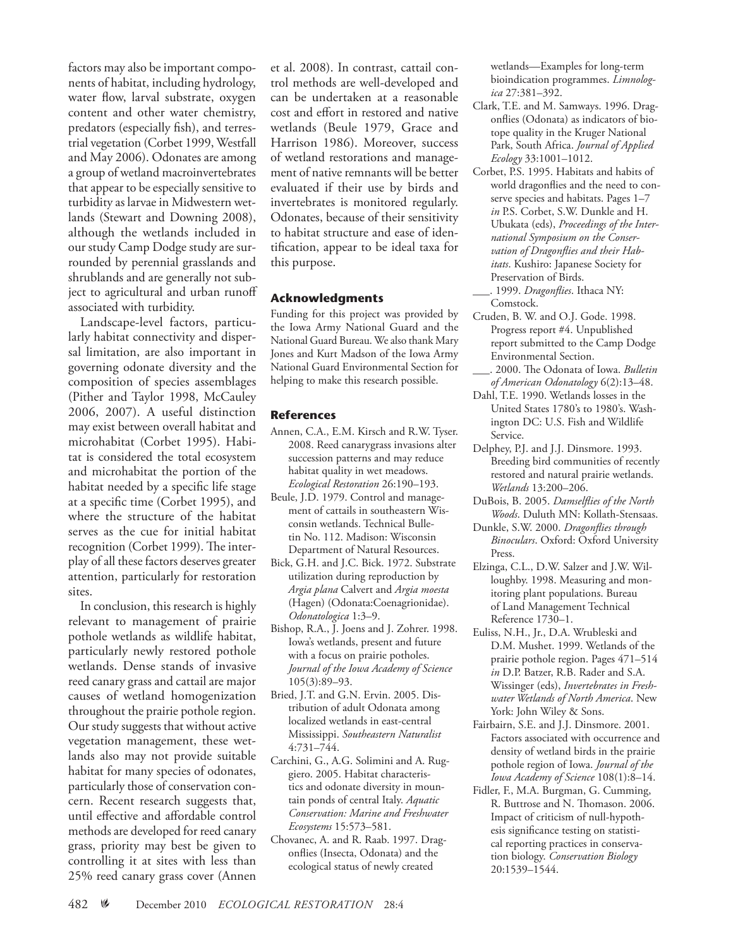factors may also be important components of habitat, including hydrology, water flow, larval substrate, oxygen content and other water chemistry, predators (especially fish), and terrestrial vegetation (Corbet 1999, Westfall and May 2006). Odonates are among a group of wetland macroinvertebrates that appear to be especially sensitive to turbidity as larvae in Midwestern wetlands (Stewart and Downing 2008), although the wetlands included in our study Camp Dodge study are surrounded by perennial grasslands and shrublands and are generally not subject to agricultural and urban runoff associated with turbidity.

Landscape-level factors, particularly habitat connectivity and dispersal limitation, are also important in governing odonate diversity and the composition of species assemblages (Pither and Taylor 1998, McCauley 2006, 2007). A useful distinction may exist between overall habitat and microhabitat (Corbet 1995). Habitat is considered the total ecosystem and microhabitat the portion of the habitat needed by a specific life stage at a specific time (Corbet 1995), and where the structure of the habitat serves as the cue for initial habitat recognition (Corbet 1999). The interplay of all these factors deserves greater attention, particularly for restoration sites.

In conclusion, this research is highly relevant to management of prairie pothole wetlands as wildlife habitat, particularly newly restored pothole wetlands. Dense stands of invasive reed canary grass and cattail are major causes of wetland homogenization throughout the prairie pothole region. Our study suggests that without active vegetation management, these wetlands also may not provide suitable habitat for many species of odonates, particularly those of conservation concern. Recent research suggests that, until effective and affordable control methods are developed for reed canary grass, priority may best be given to controlling it at sites with less than 25% reed canary grass cover (Annen

et al. 2008). In contrast, cattail control methods are well-developed and can be undertaken at a reasonable cost and effort in restored and native wetlands (Beule 1979, Grace and Harrison 1986). Moreover, success of wetland restorations and management of native remnants will be better evaluated if their use by birds and invertebrates is monitored regularly. Odonates, because of their sensitivity to habitat structure and ease of identification, appear to be ideal taxa for this purpose.

#### **Acknowledgments**

Funding for this project was provided by the Iowa Army National Guard and the National Guard Bureau. We also thank Mary Jones and Kurt Madson of the Iowa Army National Guard Environmental Section for helping to make this research possible.

### **References**

- Annen, C.A., E.M. Kirsch and R.W. Tyser. 2008. Reed canarygrass invasions alter succession patterns and may reduce habitat quality in wet meadows. *Ecological Restoration* 26:190–193.
- Beule, J.D. 1979. Control and management of cattails in southeastern Wisconsin wetlands. Technical Bulletin No. 112. Madison: Wisconsin Department of Natural Resources.
- Bick, G.H. and J.C. Bick. 1972. Substrate utilization during reproduction by *Argia plana* Calvert and *Argia moesta* (Hagen) (Odonata:Coenagrionidae). *Odonatologica* 1:3–9.
- Bishop, R.A., J. Joens and J. Zohrer. 1998. Iowa's wetlands, present and future with a focus on prairie potholes. *Journal of the Iowa Academy of Science* 105(3):89–93.
- Bried, J.T. and G.N. Ervin. 2005. Distribution of adult Odonata among localized wetlands in east-central Mississippi. *Southeastern Naturalist* 4:731–744.
- Carchini, G., A.G. Solimini and A. Ruggiero. 2005. Habitat characteristics and odonate diversity in mountain ponds of central Italy. *Aquatic Conservation: Marine and Freshwater Ecosystems* 15:573–581.
- Chovanec, A. and R. Raab. 1997. Dragonflies (Insecta, Odonata) and the ecological status of newly created

wetlands—Examples for long-term bioindication programmes. *Limnologica* 27:381–392.

- Clark, T.E. and M. Samways. 1996. Dragonflies (Odonata) as indicators of biotope quality in the Kruger National Park, South Africa. *Journal of Applied Ecology* 33:1001–1012.
- Corbet, P.S. 1995. Habitats and habits of world dragonflies and the need to conserve species and habitats. Pages 1–7 *in* P.S. Corbet, S.W. Dunkle and H. Ubukata (eds), *Proceedings of the International Symposium on the Conservation of Dragonflies and their Habitats*. Kushiro: Japanese Society for Preservation of Birds.
	- \_\_\_. 1999. *Dragonflies*. Ithaca NY: Comstock.
- Cruden, B. W. and O.J. Gode. 1998. Progress report #4. Unpublished report submitted to the Camp Dodge Environmental Section.
- \_\_\_. 2000. The Odonata of Iowa. *Bulletin of American Odonatology* 6(2):13–48.
- Dahl, T.E. 1990. Wetlands losses in the United States 1780's to 1980's. Washington DC: U.S. Fish and Wildlife Service.
- Delphey, P.J. and J.J. Dinsmore. 1993. Breeding bird communities of recently restored and natural prairie wetlands. *Wetlands* 13:200–206.
- DuBois, B. 2005. *Damselflies of the North Woods*. Duluth MN: Kollath-Stensaas.
- Dunkle, S.W. 2000. *Dragonflies through Binoculars*. Oxford: Oxford University Press.
- Elzinga, C.L., D.W. Salzer and J.W. Willoughby. 1998. Measuring and monitoring plant populations. Bureau of Land Management Technical Reference 1730–1.
- Euliss, N.H., Jr., D.A. Wrubleski and D.M. Mushet. 1999. Wetlands of the prairie pothole region. Pages 471–514 *in* D.P. Batzer, R.B. Rader and S.A. Wissinger (eds), *Invertebrates in Freshwater Wetlands of North America*. New York: John Wiley & Sons.
- Fairbairn, S.E. and J.J. Dinsmore. 2001. Factors associated with occurrence and density of wetland birds in the prairie pothole region of Iowa. *Journal of the Iowa Academy of Science* 108(1):8–14.
- Fidler, F., M.A. Burgman, G. Cumming, R. Buttrose and N. Thomason. 2006. Impact of criticism of null-hypothesis significance testing on statistical reporting practices in conservation biology. *Conservation Biology* 20:1539–1544.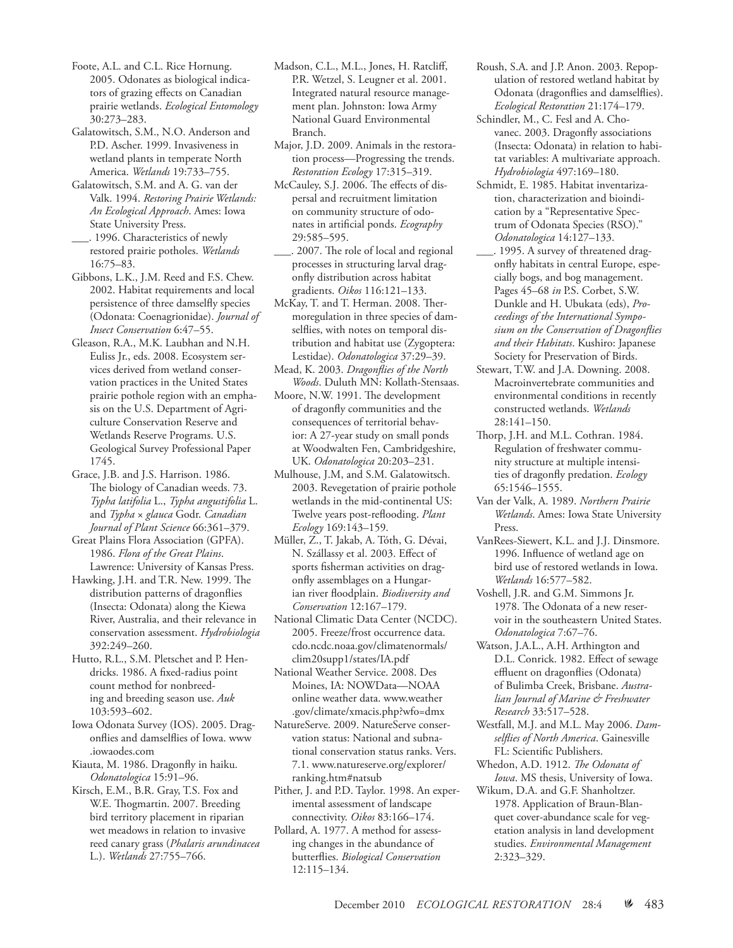Foote, A.L. and C.L. Rice Hornung. 2005. Odonates as biological indicators of grazing effects on Canadian prairie wetlands. *Ecological Entomology* 30:273–283.

Galatowitsch, S.M., N.O. Anderson and P.D. Ascher. 1999. Invasiveness in wetland plants in temperate North America. *Wetlands* 19:733–755.

Galatowitsch, S.M. and A. G. van der Valk. 1994. *Restoring Prairie Wetlands: An Ecological Approach*. Ames: Iowa State University Press.

\_\_\_. 1996. Characteristics of newly restored prairie potholes. *Wetlands* 16:75–83.

Gibbons, L.K., J.M. Reed and F.S. Chew. 2002. Habitat requirements and local persistence of three damselfly species (Odonata: Coenagrionidae). *Journal of Insect Conservation* 6:47–55.

Gleason, R.A., M.K. Laubhan and N.H. Euliss Jr., eds. 2008. Ecosystem services derived from wetland conservation practices in the United States prairie pothole region with an emphasis on the U.S. Department of Agriculture Conservation Reserve and Wetlands Reserve Programs. U.S. Geological Survey Professional Paper 1745.

Grace, J.B. and J.S. Harrison. 1986. The biology of Canadian weeds. 73. *Typha latifolia* L., *Typha angustifolia* L. and *Typha* × *glauca* Godr. *Canadian Journal of Plant Science* 66:361–379.

Great Plains Flora Association (GPFA). 1986. *Flora of the Great Plains*. Lawrence: University of Kansas Press.

Hawking, J.H. and T.R. New. 1999. The distribution patterns of dragonflies (Insecta: Odonata) along the Kiewa River, Australia, and their relevance in conservation assessment. *Hydrobiologia* 392:249–260.

Hutto, R.L., S.M. Pletschet and P. Hendricks. 1986. A fixed-radius point count method for nonbreeding and breeding season use. *Auk* 103:593–602.

Iowa Odonata Survey (IOS). 2005. Dragonflies and damselflies of Iowa. www .iowaodes.com

Kiauta, M. 1986. Dragonfly in haiku. *Odonatologica* 15:91–96.

Kirsch, E.M., B.R. Gray, T.S. Fox and W.E. Thogmartin. 2007. Breeding bird territory placement in riparian wet meadows in relation to invasive reed canary grass (*Phalaris arundinacea* L.). *Wetlands* 27:755–766.

Madson, C.L., M.L., Jones, H. Ratcliff, P.R. Wetzel, S. Leugner et al. 2001. Integrated natural resource management plan. Johnston: Iowa Army National Guard Environmental Branch.

Major, J.D. 2009. Animals in the restoration process—Progressing the trends. *Restoration Ecology* 17:315–319.

McCauley, S.J. 2006. The effects of dispersal and recruitment limitation on community structure of odonates in artificial ponds. *Ecography* 29:585–595.

\_\_\_. 2007. The role of local and regional processes in structuring larval dragonfly distribution across habitat gradients. *Oikos* 116:121–133.

McKay, T. and T. Herman. 2008. Thermoregulation in three species of damselflies, with notes on temporal distribution and habitat use (Zygoptera: Lestidae). *Odonatologica* 37:29–39.

Mead, K. 2003. *Dragonflies of the North Woods*. Duluth MN: Kollath-Stensaas.

Moore, N.W. 1991. The development of dragonfly communities and the consequences of territorial behavior: A 27-year study on small ponds at Woodwalten Fen, Cambridgeshire, UK. *Odonatologica* 20:203–231.

Mulhouse, J.M, and S.M. Galatowitsch. 2003. Revegetation of prairie pothole wetlands in the mid-continental US: Twelve years post-reflooding. *Plant Ecology* 169:143–159.

Müller, Z., T. Jakab, A. Tóth, G. Dévai, N. Szállassy et al. 2003. Effect of sports fisherman activities on dragonfly assemblages on a Hungarian river floodplain. *Biodiversity and Conservation* 12:167–179.

National Climatic Data Center (NCDC). 2005. Freeze/frost occurrence data. cdo.ncdc.noaa.gov/climatenormals/ clim20supp1/states/IA.pdf

National Weather Service. 2008. Des Moines, IA: NOWData—NOAA online weather data. www.weather .gov/climate/xmacis.php?wfo=dmx

NatureServe. 2009. NatureServe conservation status: National and subnational conservation status ranks. Vers. 7.1. www.natureserve.org/explorer/ ranking.htm#natsub

Pither, J. and P.D. Taylor. 1998. An experimental assessment of landscape connectivity. *Oikos* 83:166–174.

Pollard, A. 1977. A method for assessing changes in the abundance of butterflies. *Biological Conservation* 12:115–134.

Roush, S.A. and J.P. Anon. 2003. Repopulation of restored wetland habitat by Odonata (dragonflies and damselflies). *Ecological Restoration* 21:174–179.

Schindler, M., C. Fesl and A. Chovanec. 2003. Dragonfly associations (Insecta: Odonata) in relation to habitat variables: A multivariate approach. *Hydrobiologia* 497:169–180.

Schmidt, E. 1985. Habitat inventarization, characterization and bioindication by a "Representative Spectrum of Odonata Species (RSO)." *Odonatologica* 14:127–133.

\_\_\_. 1995. A survey of threatened dragonfly habitats in central Europe, especially bogs, and bog management. Pages 45–68 *in* P.S. Corbet, S.W. Dunkle and H. Ubukata (eds), *Proceedings of the International Symposium on the Conservation of Dragonflies and their Habitats*. Kushiro: Japanese Society for Preservation of Birds.

Stewart, T.W. and J.A. Downing. 2008. Macroinvertebrate communities and environmental conditions in recently constructed wetlands. *Wetlands* 28:141–150.

Thorp, J.H. and M.L. Cothran. 1984. Regulation of freshwater community structure at multiple intensities of dragonfly predation. *Ecology* 65:1546–1555.

Van der Valk, A. 1989. *Northern Prairie Wetlands*. Ames: Iowa State University Press.

VanRees-Siewert, K.L. and J.J. Dinsmore. 1996. Influence of wetland age on bird use of restored wetlands in Iowa. *Wetlands* 16:577–582.

Voshell, J.R. and G.M. Simmons Jr. 1978. The Odonata of a new reservoir in the southeastern United States. *Odonatologica* 7:67–76.

Watson, J.A.L., A.H. Arthington and D.L. Conrick. 1982. Effect of sewage effluent on dragonflies (Odonata) of Bulimba Creek, Brisbane. *Australian Journal of Marine & Freshwater Research* 33:517–528.

Westfall, M.J. and M.L. May 2006. *Damselflies of North America*. Gainesville FL: Scientific Publishers.

Whedon, A.D. 1912. *The Odonata of Iowa*. MS thesis, University of Iowa.

Wikum, D.A. and G.F. Shanholtzer. 1978. Application of Braun-Blanquet cover-abundance scale for vegetation analysis in land development studies. *Environmental Management* 2:323–329.